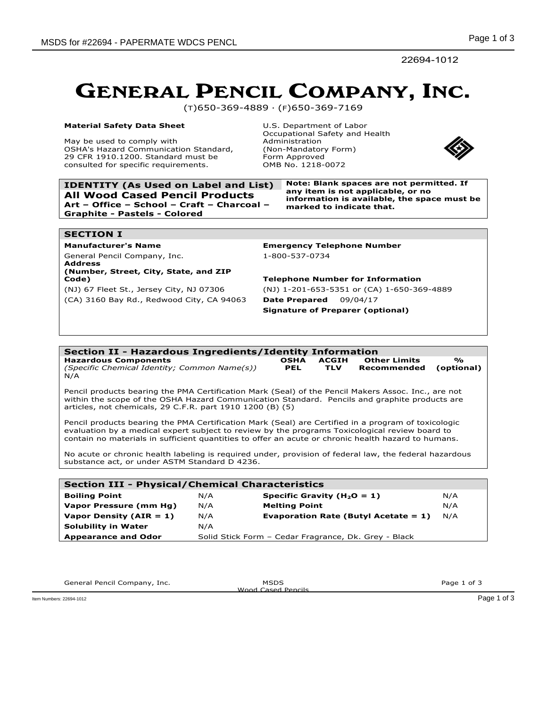22694-1012

## GENERAL PENCIL COMPANY, INC.

(T)650-369-4889 · (F)650-369-7169

### **Material Safety Data Sheet**

May be used to comply with OSHA's Hazard Communication Standard, 29 CFR 1910.1200. Standard must be consulted for specific requirements.

**All Wood Cased Pencil Products Art – Office – School – Craft – Charcoal –**

U.S. Department of Labor Occupational Safety and Health Administration (Non-Mandatory Form) Form Approved OMB No. 1218-0072



**IDENTITY (As Used on Label and List) Note: Blank spaces are not permitted. If any item is not applicable, or no information is available, the space must be marked to indicate that.**

## **SECTION I**

General Pencil Company, Inc. 1-800-537-0734 **Address**

**Graphite - Pastels - Colored**

### **(Number, Street, City, State, and ZIP Code) Telephone Number for Information**

(CA) 3160 Bay Rd., Redwood City, CA 94063 **Date Prepared** 09/04/17

**Manufacturer's Name Emergency Telephone Number**

(NJ) 67 Fleet St., Jersey City, NJ 07306 (NJ) 1-201-653-5351 or (CA) 1-650-369-4889 **Signature of Preparer (optional)**

### **Section II - Hazardous Ingredients/Identity Information Hazardous Components** *(Specific Chemical Identity; Common Name(s))* **OSHA PEL ACGIH TLV Other Limits Recommended % (optional)** N/A Pencil products bearing the PMA Certification Mark (Seal) of the Pencil Makers Assoc. Inc., are not within the scope of the OSHA Hazard Communication Standard. Pencils and graphite products are articles, not chemicals, 29 C.F.R. part 1910 1200 (B) (5) Pencil products bearing the PMA Certification Mark (Seal) are Certified in a program of toxicologic evaluation by a medical expert subject to review by the programs Toxicological review board to contain no materials in sufficient quantities to offer an acute or chronic health hazard to humans. No acute or chronic health labeling is required under, provision of federal law, the federal hazardous substance act, or under ASTM Standard D 4236.

| <b>Section III - Physical/Chemical Characteristics</b> |     |                                                      |     |  |  |  |  |  |
|--------------------------------------------------------|-----|------------------------------------------------------|-----|--|--|--|--|--|
| <b>Boiling Point</b>                                   | N/A | Specific Gravity ( $H_2O = 1$ )                      | N/A |  |  |  |  |  |
| Vapor Pressure (mm Hg)                                 | N/A | <b>Melting Point</b>                                 | N/A |  |  |  |  |  |
| Vapor Density ( $AIR = 1$ )                            | N/A | Evaporation Rate (Butyl Acetate = $1$ )              | N/A |  |  |  |  |  |
| <b>Solubility in Water</b>                             | N/A |                                                      |     |  |  |  |  |  |
| <b>Appearance and Odor</b>                             |     | Solid Stick Form - Cedar Fragrance, Dk. Grey - Black |     |  |  |  |  |  |

Wood Cased Pencils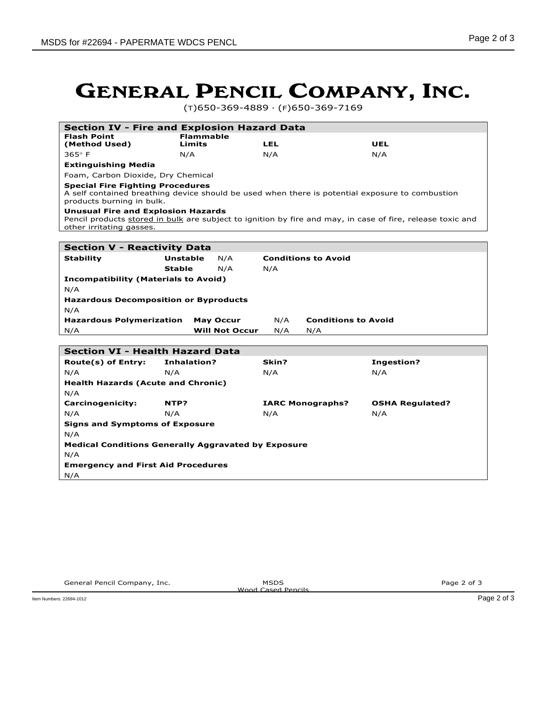# GENERAL PENCIL COMPANY, INC.

(T)650-369-4889 · (F)650-369-7169

| <b>Section IV - Fire and Explosion Hazard Data</b>                                                                                                                                  |                 |                                              |                                   |                        |  |  |  |  |  |  |
|-------------------------------------------------------------------------------------------------------------------------------------------------------------------------------------|-----------------|----------------------------------------------|-----------------------------------|------------------------|--|--|--|--|--|--|
| <b>Flash Point</b><br><b>Flammable</b>                                                                                                                                              |                 |                                              |                                   |                        |  |  |  |  |  |  |
| (Method Used)                                                                                                                                                                       | Limits          |                                              | <b>LEL</b>                        | UEL                    |  |  |  |  |  |  |
| $365^\circ$ F                                                                                                                                                                       | N/A             |                                              | N/A                               | N/A                    |  |  |  |  |  |  |
| <b>Extinguishing Media</b>                                                                                                                                                          |                 |                                              |                                   |                        |  |  |  |  |  |  |
| Foam, Carbon Dioxide, Dry Chemical                                                                                                                                                  |                 |                                              |                                   |                        |  |  |  |  |  |  |
| <b>Special Fire Fighting Procedures</b><br>A self contained breathing device should be used when there is potential exposure to combustion<br>products burning in bulk.             |                 |                                              |                                   |                        |  |  |  |  |  |  |
| <b>Unusual Fire and Explosion Hazards</b><br>Pencil products stored in bulk are subject to ignition by fire and may, in case of fire, release toxic and<br>other irritating gasses. |                 |                                              |                                   |                        |  |  |  |  |  |  |
|                                                                                                                                                                                     |                 |                                              |                                   |                        |  |  |  |  |  |  |
| <b>Section V - Reactivity Data</b>                                                                                                                                                  |                 |                                              |                                   |                        |  |  |  |  |  |  |
| <b>Stability</b>                                                                                                                                                                    | <b>Unstable</b> | N/A                                          | <b>Conditions to Avoid</b>        |                        |  |  |  |  |  |  |
|                                                                                                                                                                                     | <b>Stable</b>   | N/A                                          | N/A                               |                        |  |  |  |  |  |  |
| <b>Incompatibility (Materials to Avoid)</b>                                                                                                                                         |                 |                                              |                                   |                        |  |  |  |  |  |  |
| N/A                                                                                                                                                                                 |                 |                                              |                                   |                        |  |  |  |  |  |  |
|                                                                                                                                                                                     |                 | <b>Hazardous Decomposition or Byproducts</b> |                                   |                        |  |  |  |  |  |  |
| N/A                                                                                                                                                                                 |                 |                                              |                                   |                        |  |  |  |  |  |  |
|                                                                                                                                                                                     |                 |                                              |                                   |                        |  |  |  |  |  |  |
| <b>Hazardous Polymerization</b>                                                                                                                                                     |                 | <b>May Occur</b>                             | N/A<br><b>Conditions to Avoid</b> |                        |  |  |  |  |  |  |
| N/A                                                                                                                                                                                 |                 | <b>Will Not Occur</b>                        | N/A<br>N/A                        |                        |  |  |  |  |  |  |
|                                                                                                                                                                                     |                 |                                              |                                   |                        |  |  |  |  |  |  |
| <b>Section VI - Health Hazard Data</b>                                                                                                                                              |                 |                                              |                                   |                        |  |  |  |  |  |  |
| Route(s) of Entry:                                                                                                                                                                  | Inhalation?     |                                              | Skin?                             | <b>Ingestion?</b>      |  |  |  |  |  |  |
| N/A                                                                                                                                                                                 | N/A             |                                              | N/A                               | N/A                    |  |  |  |  |  |  |
| <b>Health Hazards (Acute and Chronic)</b>                                                                                                                                           |                 |                                              |                                   |                        |  |  |  |  |  |  |
| N/A                                                                                                                                                                                 |                 |                                              |                                   |                        |  |  |  |  |  |  |
| Carcinogenicity:                                                                                                                                                                    | NTP?            |                                              | <b>IARC Monographs?</b>           | <b>OSHA Regulated?</b> |  |  |  |  |  |  |
| N/A                                                                                                                                                                                 | N/A             |                                              | N/A                               | N/A                    |  |  |  |  |  |  |
| <b>Signs and Symptoms of Exposure</b>                                                                                                                                               |                 |                                              |                                   |                        |  |  |  |  |  |  |
| N/A                                                                                                                                                                                 |                 |                                              |                                   |                        |  |  |  |  |  |  |
| <b>Medical Conditions Generally Aggravated by Exposure</b>                                                                                                                          |                 |                                              |                                   |                        |  |  |  |  |  |  |
| N/A                                                                                                                                                                                 |                 |                                              |                                   |                        |  |  |  |  |  |  |
| <b>Emergency and First Aid Procedures</b>                                                                                                                                           |                 |                                              |                                   |                        |  |  |  |  |  |  |
| N/A                                                                                                                                                                                 |                 |                                              |                                   |                        |  |  |  |  |  |  |

Wood Cased Pencils